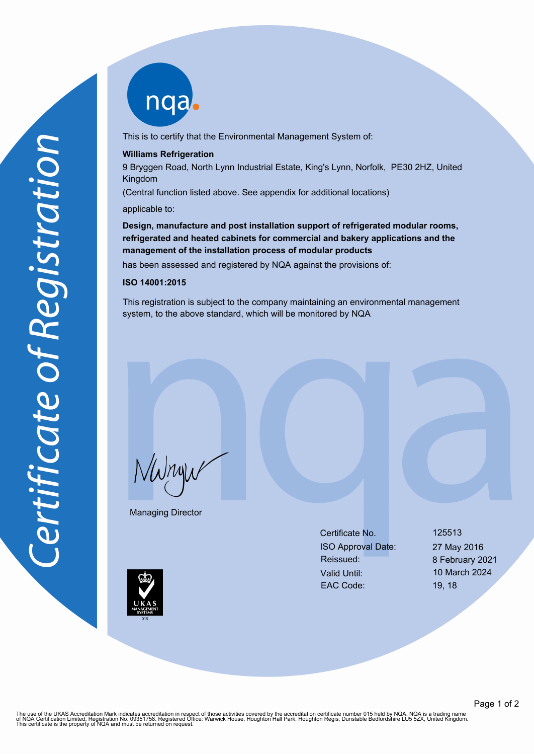nqab

This is to certify that the Environmental Management System of:

#### **Williams Refrigeration**

9 Bryggen Road, North Lynn Industrial Estate, King's Lynn, Norfolk, PE30 2HZ, United Kingdom

(Central function listed above. See appendix for additional locations)

applicable to:

**Design, manufacture and post installation support of refrigerated modular rooms, refrigerated and heated cabinets for commercial and bakery applications and the management of the installation process of modular products**

has been assessed and registered by NQA against the provisions of:

## **ISO 14001:2015**

This registration is subject to the company maintaining an environmental management system, to the above standard, which will be monitored by NQA

NWnyw

Managing Director

Certificate No. 125513 ISO Approval Date: 27 May 2016 Reissued: 8 February 2021 Valid Until: 10 March 2024 EAC Code: 19, 18